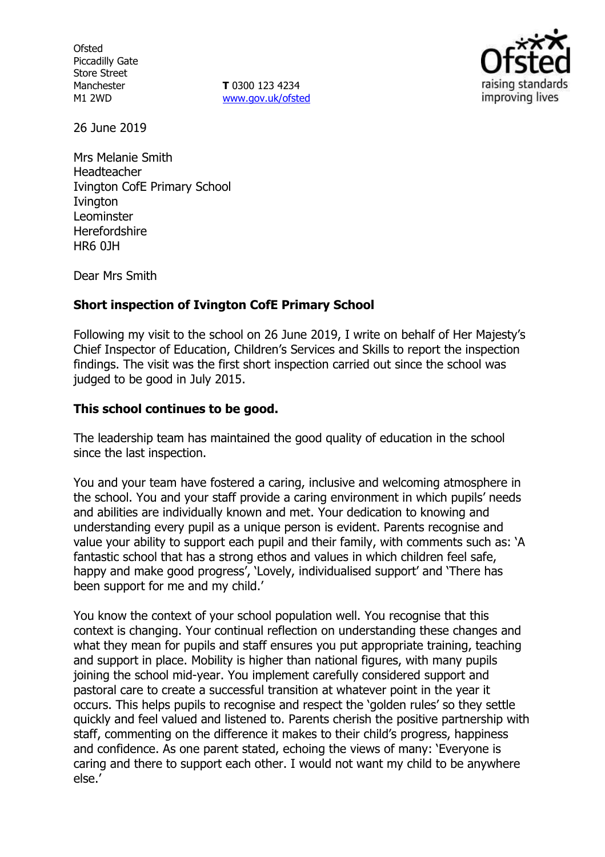**Ofsted** Piccadilly Gate Store Street Manchester M1 2WD

**T** 0300 123 4234 www.gov.uk/ofsted



26 June 2019

Mrs Melanie Smith Headteacher Ivington CofE Primary School **Ivington** Leominster **Herefordshire** HR6 0JH

Dear Mrs Smith

## **Short inspection of Ivington CofE Primary School**

Following my visit to the school on 26 June 2019, I write on behalf of Her Majesty's Chief Inspector of Education, Children's Services and Skills to report the inspection findings. The visit was the first short inspection carried out since the school was judged to be good in July 2015.

#### **This school continues to be good.**

The leadership team has maintained the good quality of education in the school since the last inspection.

You and your team have fostered a caring, inclusive and welcoming atmosphere in the school. You and your staff provide a caring environment in which pupils' needs and abilities are individually known and met. Your dedication to knowing and understanding every pupil as a unique person is evident. Parents recognise and value your ability to support each pupil and their family, with comments such as: 'A fantastic school that has a strong ethos and values in which children feel safe, happy and make good progress', 'Lovely, individualised support' and 'There has been support for me and my child.'

You know the context of your school population well. You recognise that this context is changing. Your continual reflection on understanding these changes and what they mean for pupils and staff ensures you put appropriate training, teaching and support in place. Mobility is higher than national figures, with many pupils joining the school mid-year. You implement carefully considered support and pastoral care to create a successful transition at whatever point in the year it occurs. This helps pupils to recognise and respect the 'golden rules' so they settle quickly and feel valued and listened to. Parents cherish the positive partnership with staff, commenting on the difference it makes to their child's progress, happiness and confidence. As one parent stated, echoing the views of many: 'Everyone is caring and there to support each other. I would not want my child to be anywhere else.'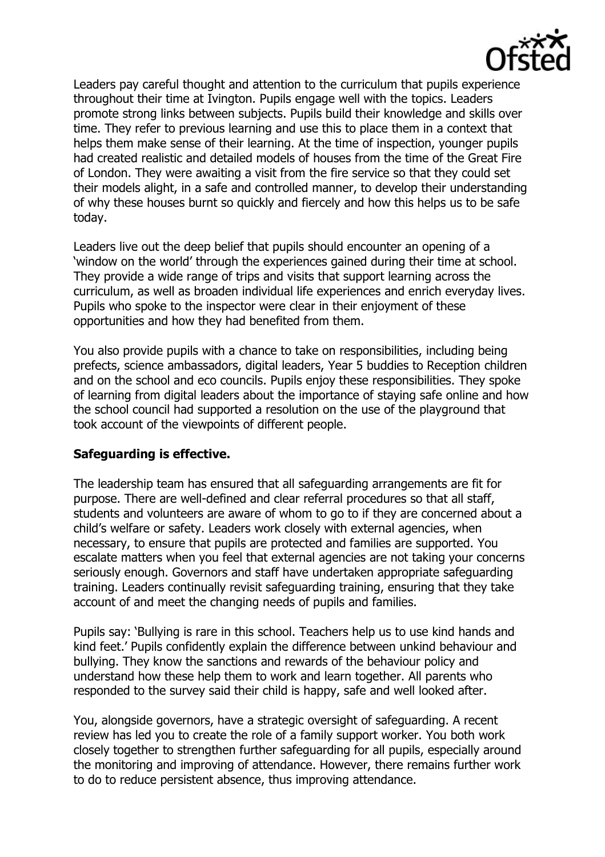

Leaders pay careful thought and attention to the curriculum that pupils experience throughout their time at Ivington. Pupils engage well with the topics. Leaders promote strong links between subjects. Pupils build their knowledge and skills over time. They refer to previous learning and use this to place them in a context that helps them make sense of their learning. At the time of inspection, younger pupils had created realistic and detailed models of houses from the time of the Great Fire of London. They were awaiting a visit from the fire service so that they could set their models alight, in a safe and controlled manner, to develop their understanding of why these houses burnt so quickly and fiercely and how this helps us to be safe today.

Leaders live out the deep belief that pupils should encounter an opening of a 'window on the world' through the experiences gained during their time at school. They provide a wide range of trips and visits that support learning across the curriculum, as well as broaden individual life experiences and enrich everyday lives. Pupils who spoke to the inspector were clear in their enjoyment of these opportunities and how they had benefited from them.

You also provide pupils with a chance to take on responsibilities, including being prefects, science ambassadors, digital leaders, Year 5 buddies to Reception children and on the school and eco councils. Pupils enjoy these responsibilities. They spoke of learning from digital leaders about the importance of staying safe online and how the school council had supported a resolution on the use of the playground that took account of the viewpoints of different people.

## **Safeguarding is effective.**

The leadership team has ensured that all safeguarding arrangements are fit for purpose. There are well-defined and clear referral procedures so that all staff, students and volunteers are aware of whom to go to if they are concerned about a child's welfare or safety. Leaders work closely with external agencies, when necessary, to ensure that pupils are protected and families are supported. You escalate matters when you feel that external agencies are not taking your concerns seriously enough. Governors and staff have undertaken appropriate safeguarding training. Leaders continually revisit safeguarding training, ensuring that they take account of and meet the changing needs of pupils and families.

Pupils say: 'Bullying is rare in this school. Teachers help us to use kind hands and kind feet.' Pupils confidently explain the difference between unkind behaviour and bullying. They know the sanctions and rewards of the behaviour policy and understand how these help them to work and learn together. All parents who responded to the survey said their child is happy, safe and well looked after.

You, alongside governors, have a strategic oversight of safeguarding. A recent review has led you to create the role of a family support worker. You both work closely together to strengthen further safeguarding for all pupils, especially around the monitoring and improving of attendance. However, there remains further work to do to reduce persistent absence, thus improving attendance.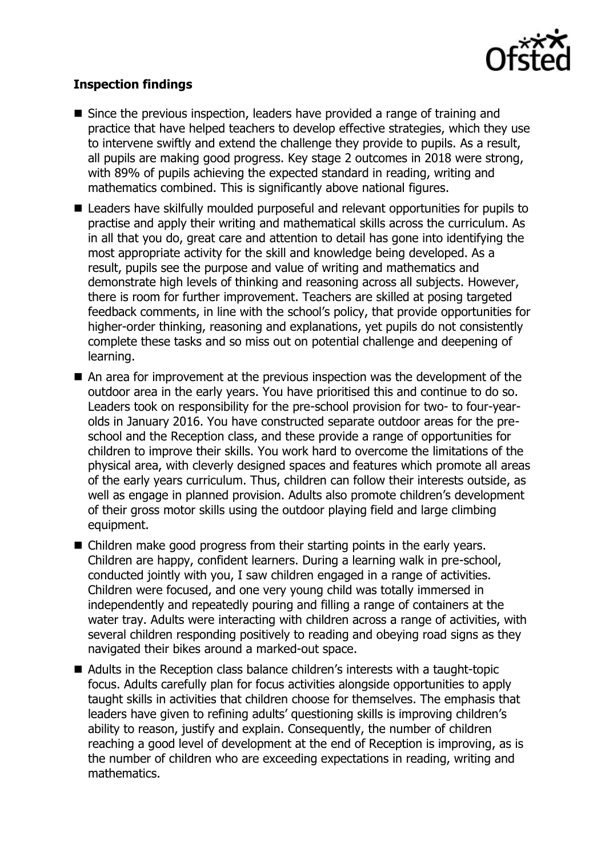

# **Inspection findings**

- Since the previous inspection, leaders have provided a range of training and practice that have helped teachers to develop effective strategies, which they use to intervene swiftly and extend the challenge they provide to pupils. As a result, all pupils are making good progress. Key stage 2 outcomes in 2018 were strong, with 89% of pupils achieving the expected standard in reading, writing and mathematics combined. This is significantly above national figures.
- Leaders have skilfully moulded purposeful and relevant opportunities for pupils to practise and apply their writing and mathematical skills across the curriculum. As in all that you do, great care and attention to detail has gone into identifying the most appropriate activity for the skill and knowledge being developed. As a result, pupils see the purpose and value of writing and mathematics and demonstrate high levels of thinking and reasoning across all subjects. However, there is room for further improvement. Teachers are skilled at posing targeted feedback comments, in line with the school's policy, that provide opportunities for higher-order thinking, reasoning and explanations, yet pupils do not consistently complete these tasks and so miss out on potential challenge and deepening of learning.
- An area for improvement at the previous inspection was the development of the outdoor area in the early years. You have prioritised this and continue to do so. Leaders took on responsibility for the pre-school provision for two- to four-yearolds in January 2016. You have constructed separate outdoor areas for the preschool and the Reception class, and these provide a range of opportunities for children to improve their skills. You work hard to overcome the limitations of the physical area, with cleverly designed spaces and features which promote all areas of the early years curriculum. Thus, children can follow their interests outside, as well as engage in planned provision. Adults also promote children's development of their gross motor skills using the outdoor playing field and large climbing equipment.
- Children make good progress from their starting points in the early years. Children are happy, confident learners. During a learning walk in pre-school, conducted jointly with you, I saw children engaged in a range of activities. Children were focused, and one very young child was totally immersed in independently and repeatedly pouring and filling a range of containers at the water tray. Adults were interacting with children across a range of activities, with several children responding positively to reading and obeying road signs as they navigated their bikes around a marked-out space.
- Adults in the Reception class balance children's interests with a taught-topic focus. Adults carefully plan for focus activities alongside opportunities to apply taught skills in activities that children choose for themselves. The emphasis that leaders have given to refining adults' questioning skills is improving children's ability to reason, justify and explain. Consequently, the number of children reaching a good level of development at the end of Reception is improving, as is the number of children who are exceeding expectations in reading, writing and mathematics.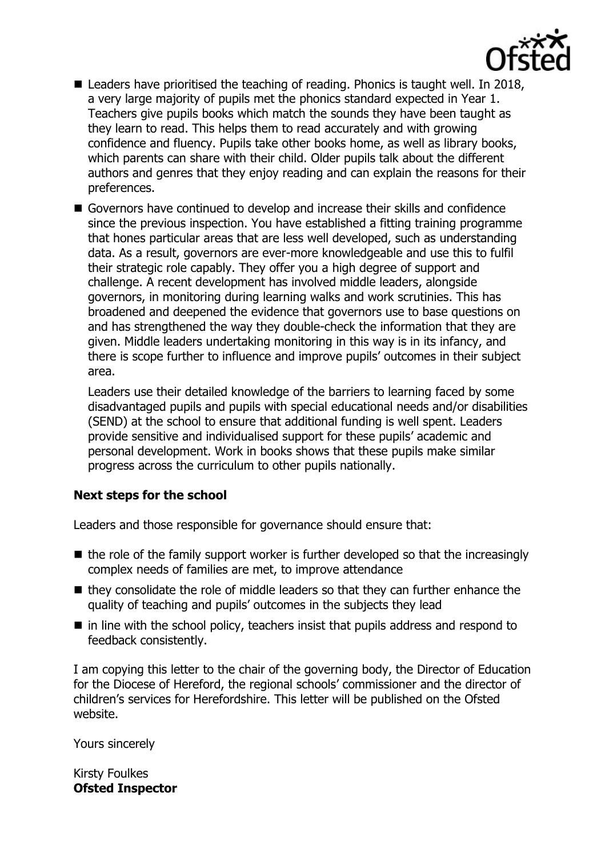

- Leaders have prioritised the teaching of reading. Phonics is taught well. In 2018, a very large majority of pupils met the phonics standard expected in Year 1. Teachers give pupils books which match the sounds they have been taught as they learn to read. This helps them to read accurately and with growing confidence and fluency. Pupils take other books home, as well as library books, which parents can share with their child. Older pupils talk about the different authors and genres that they enjoy reading and can explain the reasons for their preferences.
- Governors have continued to develop and increase their skills and confidence since the previous inspection. You have established a fitting training programme that hones particular areas that are less well developed, such as understanding data. As a result, governors are ever-more knowledgeable and use this to fulfil their strategic role capably. They offer you a high degree of support and challenge. A recent development has involved middle leaders, alongside governors, in monitoring during learning walks and work scrutinies. This has broadened and deepened the evidence that governors use to base questions on and has strengthened the way they double-check the information that they are given. Middle leaders undertaking monitoring in this way is in its infancy, and there is scope further to influence and improve pupils' outcomes in their subject area.

Leaders use their detailed knowledge of the barriers to learning faced by some disadvantaged pupils and pupils with special educational needs and/or disabilities (SEND) at the school to ensure that additional funding is well spent. Leaders provide sensitive and individualised support for these pupils' academic and personal development. Work in books shows that these pupils make similar progress across the curriculum to other pupils nationally.

## **Next steps for the school**

Leaders and those responsible for governance should ensure that:

- $\blacksquare$  the role of the family support worker is further developed so that the increasingly complex needs of families are met, to improve attendance
- $\blacksquare$  they consolidate the role of middle leaders so that they can further enhance the quality of teaching and pupils' outcomes in the subjects they lead
- $\blacksquare$  in line with the school policy, teachers insist that pupils address and respond to feedback consistently.

I am copying this letter to the chair of the governing body, the Director of Education for the Diocese of Hereford, the regional schools' commissioner and the director of children's services for Herefordshire. This letter will be published on the Ofsted website.

Yours sincerely

Kirsty Foulkes **Ofsted Inspector**